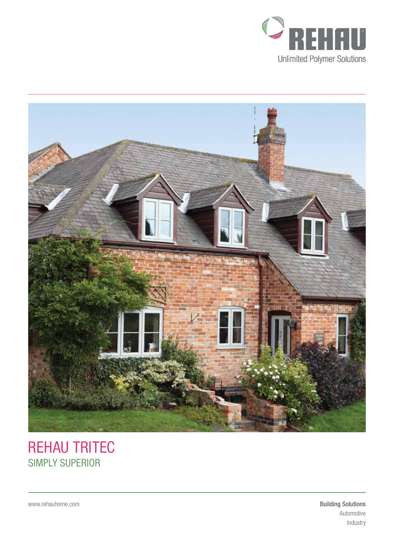



# REHAU TRITEC SIMPLY SUPERIOR

www.rehauhome.com **Building Solutions** Automotive Industry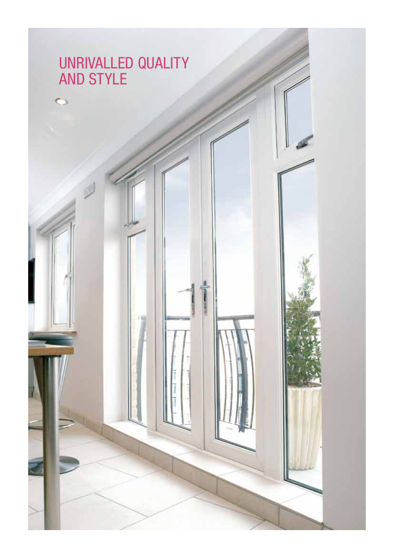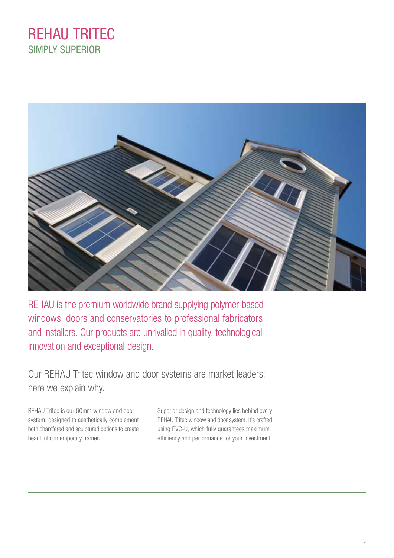## REHAU TRITEC SIMPLY SUPERIOR



REHAU is the premium worldwide brand supplying polymer-based windows, doors and conservatories to professional fabricators and installers. Our products are unrivalled in quality, technological innovation and exceptional design.

Our REHAU Tritec window and door systems are market leaders; here we explain why.

REHAU Tritec is our 60mm window and door system, designed to aesthetically complement both chamfered and sculptured options to create beautiful contemporary frames.

Superior design and technology lies behind every REHAU Tritec window and door system. It's crafted using PVC-U, which fully guarantees maximum efficiency and performance for your investment.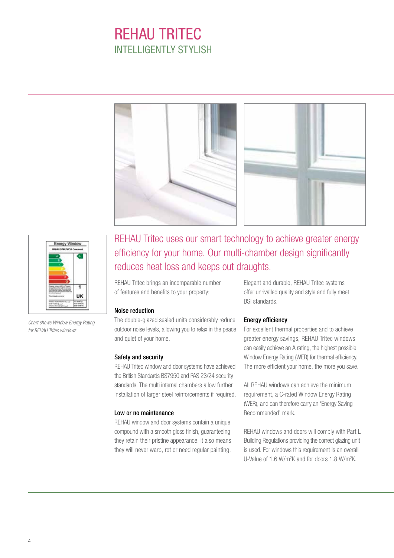# REHAU TRITEC INTELLIGENTLY STYLISH





*Chart shows Window Energy Rating for REHAU Tritec windows.*

### REHAU Tritec uses our smart technology to achieve greater energy efficiency for your home. Our multi-chamber design significantly reduces heat loss and keeps out draughts.

REHAU Tritec brings an incomparable number of features and benefits to your property:

### Noise reduction

The double-glazed sealed units considerably reduce outdoor noise levels, allowing you to relax in the peace and quiet of your home.

### Safety and security

REHAU Tritec window and door systems have achieved the British Standards BS7950 and PAS 23/24 security standards. The multi internal chambers allow further installation of larger steel reinforcements if required.

#### Low or no maintenance

REHAU window and door systems contain a unique compound with a smooth gloss finish, guaranteeing they retain their pristine appearance. It also means they will never warp, rot or need regular painting.

Elegant and durable, REHAU Tritec systems offer unrivalled quality and style and fully meet BSI standards.

#### Energy efficiency

For excellent thermal properties and to achieve greater energy savings, REHAU Tritec windows can easily achieve an A rating, the highest possible Window Energy Rating (WER) for thermal efficiency. The more efficient your home, the more you save.

All REHAU windows can achieve the minimum requirement, a C-rated Window Energy Rating (WER), and can therefore carry an 'Energy Saving Recommended' mark.

REHAU windows and doors will comply with Part L Building Regulations providing the correct glazing unit is used. For windows this requirement is an overall U-Value of 1.6 W/m<sup>2</sup>K and for doors 1.8 W/m<sup>2</sup>K.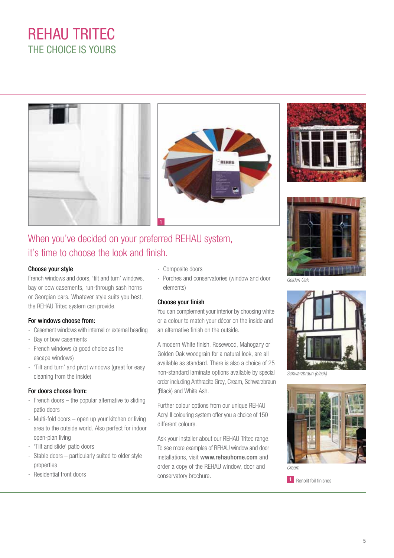# REHAU TRITEC THE CHOICE IS YOURS









*Golden Oak*



*Schwarzbraun (black)*



1 Renolit foil finishes

## When you've decided on your preferred REHAU system, it's time to choose the look and finish.

#### Choose your style

French windows and doors, 'tilt and turn' windows, bay or bow casements, run-through sash horns or Georgian bars. Whatever style suits you best, the REHAU Tritec system can provide.

### For windows choose from:

- Casement windows with internal or external beading
- Bay or bow casements
- French windows (a good choice as fire escape windows)
- 'Tilt and turn' and pivot windows (great for easy cleaning from the inside)

### For doors choose from:

- French doors the popular alternative to sliding patio doors
- Multi-fold doors open up your kitchen or living area to the outside world. Also perfect for indoor open-plan living
- 'Tilt and slide' patio doors
- Stable doors particularly suited to older style properties
- Residential front doors
- Composite doors
- Porches and conservatories (window and door elements)

### Choose your finish

You can complement your interior by choosing white or a colour to match your décor on the inside and an alternative finish on the outside.

A modern White finish, Rosewood, Mahogany or Golden Oak woodgrain for a natural look, are all available as standard. There is also a choice of 25 non-standard laminate options available by special order including Anthracite Grey, Cream, Schwarzbraun (Black) and White Ash.

Further colour options from our unique REHAU Acryl II colouring system offer you a choice of 150 different colours.

Ask your installer about our REHAU Tritec range. To see more examples of REHAU window and door installations, visit www.rehauhome.com and order a copy of the REHAU window, door and conservatory brochure.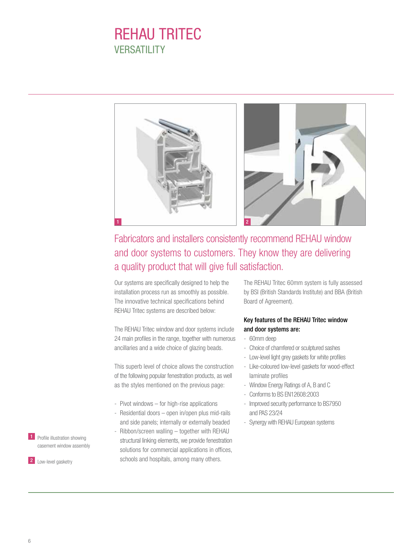## REHAU TRITEC **VERSATILITY**



### Fabricators and installers consistently recommend REHAU window and door systems to customers. They know they are delivering a quality product that will give full satisfaction.

Our systems are specifically designed to help the installation process run as smoothly as possible. The innovative technical specifications behind REHAU Tritec systems are described below:

The REHAU Tritec window and door systems include 24 main profiles in the range, together with numerous ancillaries and a wide choice of glazing beads.

This superb level of choice allows the construction of the following popular fenestration products, as well as the styles mentioned on the previous page:

- Pivot windows for high-rise applications
- Residential doors open in/open plus mid-rails and side panels; internally or externally beaded
- Ribbon/screen walling together with REHAU structural linking elements, we provide fenestration solutions for commercial applications in offices, schools and hospitals, among many others.

The REHAU Tritec 60mm system is fully assessed by BSI (British Standards Institute) and BBA (British Board of Agreement).

### Key features of the REHAU Tritec window and door systems are:

- 60mm deep
- Choice of chamfered or sculptured sashes
- Low-level light grey gaskets for white profiles
- Like-coloured low-level gaskets for wood-effect laminate profiles
- Window Energy Ratings of A, B and C
- Conforms to BS EN12608:2003
- Improved security performance to BS7950 and PAS 23/24
- Synergy with REHAU European systems

**1** Profile illustration showing casement window assembly

2 Low-level gasketry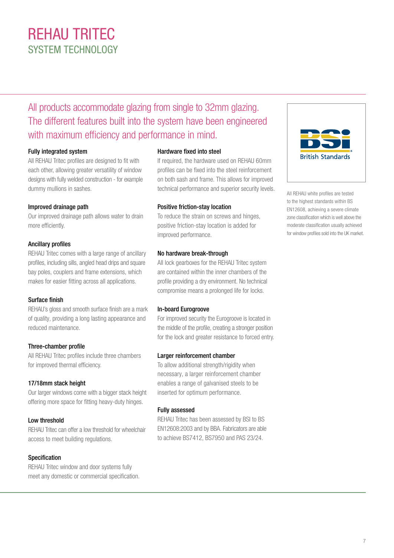# REHAU TRITEC SYSTEM TECHNOLOGY

### All products accommodate glazing from single to 32mm glazing. The different features built into the system have been engineered with maximum efficiency and performance in mind.

### Fully integrated system

All REHAU Tritec profiles are designed to fit with each other, allowing greater versatility of window designs with fully welded construction - for example dummy mullions in sashes.

### Improved drainage path

Our improved drainage path allows water to drain more efficiently.

### Ancillary profiles

REHAU Tritec comes with a large range of ancillary profiles, including sills, angled head drips and square bay poles, couplers and frame extensions, which makes for easier fitting across all applications.

### Surface finish

REHAU's gloss and smooth surface finish are a mark of quality, providing a long lasting appearance and reduced maintenance.

### Three-chamber profile

All REHAU Tritec profiles include three chambers for improved thermal efficiency.

### 17/18mm stack height

Our larger windows come with a bigger stack height offering more space for fitting heavy-duty hinges.

### Low threshold

REHAU Tritec can offer a low threshold for wheelchair access to meet building regulations.

### Specification

REHAU Tritec window and door systems fully meet any domestic or commercial specification.

### Hardware fixed into steel

If required, the hardware used on REHAU 60mm profiles can be fixed into the steel reinforcement on both sash and frame. This allows for improved technical performance and superior security levels.

### Positive friction-stay location

To reduce the strain on screws and hinges, positive friction-stay location is added for improved performance.

### No hardware break-through

All lock gearboxes for the REHAU Tritec system are contained within the inner chambers of the profile providing a dry environment. No technical compromise means a prolonged life for locks.

### In-board Eurogroove

For improved security the Eurogroove is located in the middle of the profile, creating a stronger position for the lock and greater resistance to forced entry.

### Larger reinforcement chamber

To allow additional strength/rigidity when necessary, a larger reinforcement chamber enables a range of galvanised steels to be inserted for optimum performance.

### Fully assessed

REHAU Tritec has been assessed by BSI to BS EN12608:2003 and by BBA. Fabricators are able to achieve BS7412, BS7950 and PAS 23/24.



All REHAU white profiles are tested to the highest standards within BS EN12608, achieving a severe climate zone classification which is well above the moderate classification usually achieved for window profiles sold into the UK market.